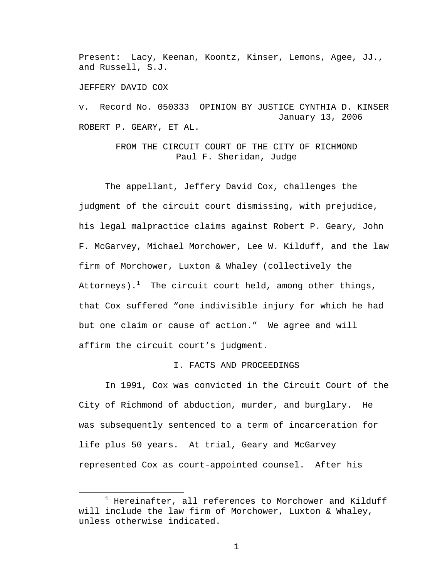Present: Lacy, Keenan, Koontz, Kinser, Lemons, Agee, JJ., and Russell, S.J.

JEFFERY DAVID COX

v. Record No. 050333 OPINION BY JUSTICE CYNTHIA D. KINSER January 13, 2006 ROBERT P. GEARY, ET AL.

> FROM THE CIRCUIT COURT OF THE CITY OF RICHMOND Paul F. Sheridan, Judge

 The appellant, Jeffery David Cox, challenges the judgment of the circuit court dismissing, with prejudice, his legal malpractice claims against Robert P. Geary, John F. McGarvey, Michael Morchower, Lee W. Kilduff, and the law firm of Morchower, Luxton & Whaley (collectively the Attorneys). $^1$  The circuit court held, among other things, that Cox suffered "one indivisible injury for which he had but one claim or cause of action." We agree and will affirm the circuit court's judgment.

# I. FACTS AND PROCEEDINGS

 In 1991, Cox was convicted in the Circuit Court of the City of Richmond of abduction, murder, and burglary. He was subsequently sentenced to a term of incarceration for life plus 50 years. At trial, Geary and McGarvey represented Cox as court-appointed counsel. After his

 $\frac{1}{1}$  $1$  Hereinafter, all references to Morchower and Kilduff will include the law firm of Morchower, Luxton & Whaley, unless otherwise indicated.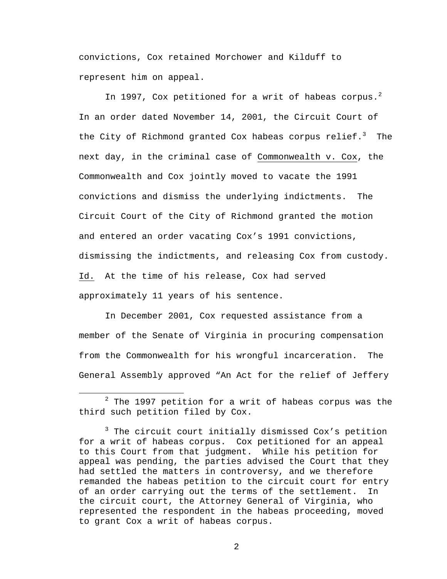convictions, Cox retained Morchower and Kilduff to represent him on appeal.

In 1997, Cox petitioned for a writ of habeas corpus.<sup>2</sup> In an order dated November 14, 2001, the Circuit Court of the City of Richmond granted Cox habeas corpus relief. $^3$  The next day, in the criminal case of Commonwealth v. Cox, the Commonwealth and Cox jointly moved to vacate the 1991 convictions and dismiss the underlying indictments. The Circuit Court of the City of Richmond granted the motion and entered an order vacating Cox's 1991 convictions, dismissing the indictments, and releasing Cox from custody. Id. At the time of his release, Cox had served approximately 11 years of his sentence.

 In December 2001, Cox requested assistance from a member of the Senate of Virginia in procuring compensation from the Commonwealth for his wrongful incarceration. The General Assembly approved "An Act for the relief of Jeffery

<sup>2</sup>  $2$  The 1997 petition for a writ of habeas corpus was the third such petition filed by Cox.

<sup>&</sup>lt;sup>3</sup> The circuit court initially dismissed Cox's petition for a writ of habeas corpus. Cox petitioned for an appeal to this Court from that judgment. While his petition for appeal was pending, the parties advised the Court that they had settled the matters in controversy, and we therefore remanded the habeas petition to the circuit court for entry of an order carrying out the terms of the settlement. In the circuit court, the Attorney General of Virginia, who represented the respondent in the habeas proceeding, moved to grant Cox a writ of habeas corpus.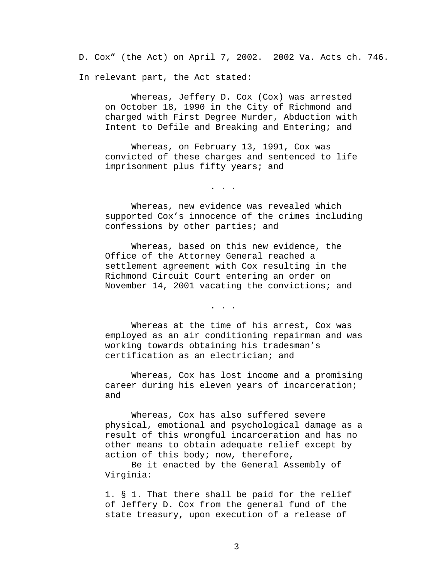D. Cox" (the Act) on April 7, 2002. 2002 Va. Acts ch. 746. In relevant part, the Act stated:

 Whereas, Jeffery D. Cox (Cox) was arrested on October 18, 1990 in the City of Richmond and charged with First Degree Murder, Abduction with Intent to Defile and Breaking and Entering; and

 Whereas, on February 13, 1991, Cox was convicted of these charges and sentenced to life imprisonment plus fifty years; and

. . .

 Whereas, new evidence was revealed which supported Cox's innocence of the crimes including confessions by other parties; and

 Whereas, based on this new evidence, the Office of the Attorney General reached a settlement agreement with Cox resulting in the Richmond Circuit Court entering an order on November 14, 2001 vacating the convictions; and

. . .

 Whereas at the time of his arrest, Cox was employed as an air conditioning repairman and was working towards obtaining his tradesman's certification as an electrician; and

 Whereas, Cox has lost income and a promising career during his eleven years of incarceration; and

 Whereas, Cox has also suffered severe physical, emotional and psychological damage as a result of this wrongful incarceration and has no other means to obtain adequate relief except by action of this body; now, therefore,

 Be it enacted by the General Assembly of Virginia:

1. § 1. That there shall be paid for the relief of Jeffery D. Cox from the general fund of the state treasury, upon execution of a release of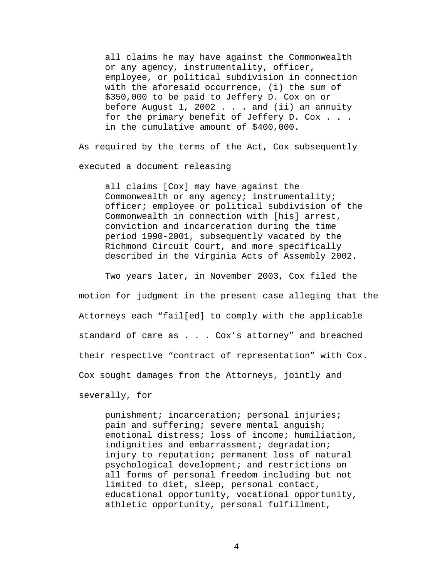all claims he may have against the Commonwealth or any agency, instrumentality, officer, employee, or political subdivision in connection with the aforesaid occurrence, (i) the sum of \$350,000 to be paid to Jeffery D. Cox on or before August  $1, 2002$ ... and (ii) an annuity for the primary benefit of Jeffery D. Cox . . . in the cumulative amount of \$400,000.

As required by the terms of the Act, Cox subsequently executed a document releasing

all claims [Cox] may have against the Commonwealth or any agency; instrumentality; officer; employee or political subdivision of the Commonwealth in connection with [his] arrest, conviction and incarceration during the time period 1990-2001, subsequently vacated by the Richmond Circuit Court, and more specifically described in the Virginia Acts of Assembly 2002.

 Two years later, in November 2003, Cox filed the motion for judgment in the present case alleging that the Attorneys each "fail[ed] to comply with the applicable standard of care as . . . Cox's attorney" and breached their respective "contract of representation" with Cox. Cox sought damages from the Attorneys, jointly and severally, for

punishment; incarceration; personal injuries; pain and suffering; severe mental anguish; emotional distress; loss of income; humiliation, indignities and embarrassment; degradation; injury to reputation; permanent loss of natural psychological development; and restrictions on all forms of personal freedom including but not limited to diet, sleep, personal contact, educational opportunity, vocational opportunity, athletic opportunity, personal fulfillment,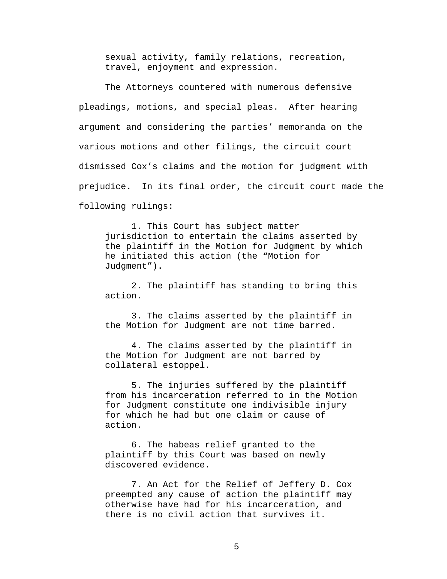sexual activity, family relations, recreation, travel, enjoyment and expression.

The Attorneys countered with numerous defensive pleadings, motions, and special pleas. After hearing argument and considering the parties' memoranda on the various motions and other filings, the circuit court dismissed Cox's claims and the motion for judgment with prejudice. In its final order, the circuit court made the following rulings:

1. This Court has subject matter jurisdiction to entertain the claims asserted by the plaintiff in the Motion for Judgment by which he initiated this action (the "Motion for Judgment").

2. The plaintiff has standing to bring this action.

3. The claims asserted by the plaintiff in the Motion for Judgment are not time barred.

4. The claims asserted by the plaintiff in the Motion for Judgment are not barred by collateral estoppel.

5. The injuries suffered by the plaintiff from his incarceration referred to in the Motion for Judgment constitute one indivisible injury for which he had but one claim or cause of action.

6. The habeas relief granted to the plaintiff by this Court was based on newly discovered evidence.

7. An Act for the Relief of Jeffery D. Cox preempted any cause of action the plaintiff may otherwise have had for his incarceration, and there is no civil action that survives it.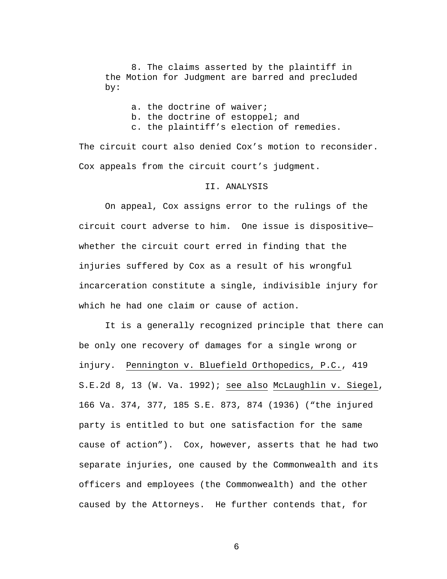8. The claims asserted by the plaintiff in the Motion for Judgment are barred and precluded by:

> a. the doctrine of waiver; b. the doctrine of estoppel; and c. the plaintiff's election of remedies.

The circuit court also denied Cox's motion to reconsider. Cox appeals from the circuit court's judgment.

### II. ANALYSIS

 On appeal, Cox assigns error to the rulings of the circuit court adverse to him. One issue is dispositive whether the circuit court erred in finding that the injuries suffered by Cox as a result of his wrongful incarceration constitute a single, indivisible injury for which he had one claim or cause of action.

It is a generally recognized principle that there can be only one recovery of damages for a single wrong or injury. Pennington v. Bluefield Orthopedics, P.C., 419 S.E.2d 8, 13 (W. Va. 1992); see also McLaughlin v. Siegel, 166 Va. 374, 377, 185 S.E. 873, 874 (1936) ("the injured party is entitled to but one satisfaction for the same cause of action"). Cox, however, asserts that he had two separate injuries, one caused by the Commonwealth and its officers and employees (the Commonwealth) and the other caused by the Attorneys. He further contends that, for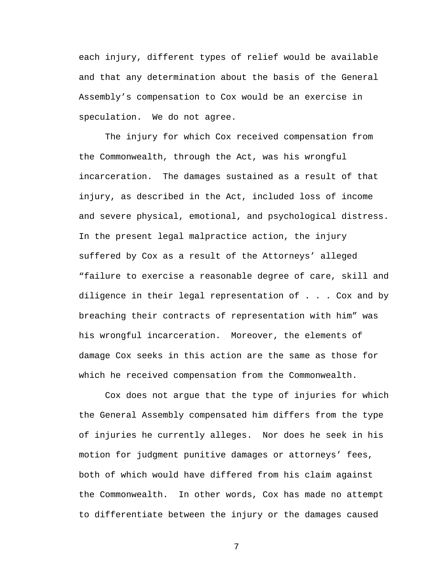each injury, different types of relief would be available and that any determination about the basis of the General Assembly's compensation to Cox would be an exercise in speculation. We do not agree.

The injury for which Cox received compensation from the Commonwealth, through the Act, was his wrongful incarceration. The damages sustained as a result of that injury, as described in the Act, included loss of income and severe physical, emotional, and psychological distress. In the present legal malpractice action, the injury suffered by Cox as a result of the Attorneys' alleged "failure to exercise a reasonable degree of care, skill and diligence in their legal representation of . . . Cox and by breaching their contracts of representation with him" was his wrongful incarceration. Moreover, the elements of damage Cox seeks in this action are the same as those for which he received compensation from the Commonwealth.

Cox does not argue that the type of injuries for which the General Assembly compensated him differs from the type of injuries he currently alleges. Nor does he seek in his motion for judgment punitive damages or attorneys' fees, both of which would have differed from his claim against the Commonwealth. In other words, Cox has made no attempt to differentiate between the injury or the damages caused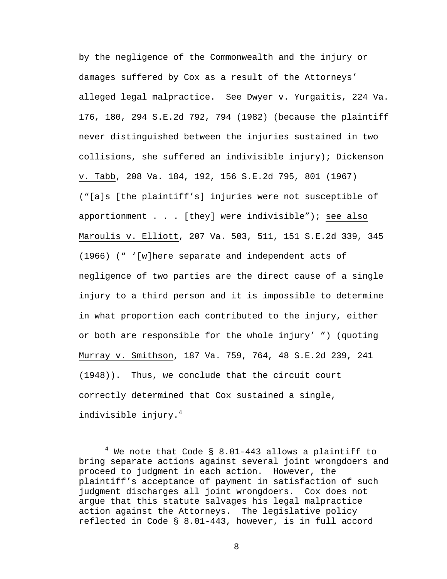by the negligence of the Commonwealth and the injury or damages suffered by Cox as a result of the Attorneys' alleged legal malpractice. See Dwyer v. Yurgaitis, 224 Va. 176, 180, 294 S.E.2d 792, 794 (1982) (because the plaintiff never distinguished between the injuries sustained in two collisions, she suffered an indivisible injury); Dickenson v. Tabb, 208 Va. 184, 192, 156 S.E.2d 795, 801 (1967) ("[a]s [the plaintiff's] injuries were not susceptible of apportionment . . . [they] were indivisible"); see also Maroulis v. Elliott, 207 Va. 503, 511, 151 S.E.2d 339, 345 (1966) (" '[w]here separate and independent acts of negligence of two parties are the direct cause of a single injury to a third person and it is impossible to determine in what proportion each contributed to the injury, either or both are responsible for the whole injury' ") (quoting Murray v. Smithson, 187 Va. 759, 764, 48 S.E.2d 239, 241 (1948)). Thus, we conclude that the circuit court correctly determined that Cox sustained a single, indivisible injury.<sup>4</sup>

 $\overline{4}$  $4$  We note that Code § 8.01-443 allows a plaintiff to bring separate actions against several joint wrongdoers and proceed to judgment in each action. However, the plaintiff's acceptance of payment in satisfaction of such judgment discharges all joint wrongdoers. Cox does not argue that this statute salvages his legal malpractice action against the Attorneys. The legislative policy reflected in Code § 8.01-443, however, is in full accord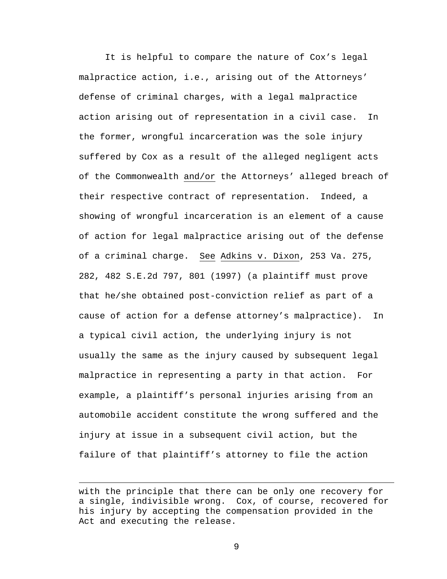It is helpful to compare the nature of Cox's legal malpractice action, i.e., arising out of the Attorneys' defense of criminal charges, with a legal malpractice action arising out of representation in a civil case. In the former, wrongful incarceration was the sole injury suffered by Cox as a result of the alleged negligent acts of the Commonwealth and/or the Attorneys' alleged breach of their respective contract of representation. Indeed, a showing of wrongful incarceration is an element of a cause of action for legal malpractice arising out of the defense of a criminal charge. See Adkins v. Dixon, 253 Va. 275, 282, 482 S.E.2d 797, 801 (1997) (a plaintiff must prove that he/she obtained post-conviction relief as part of a cause of action for a defense attorney's malpractice). In a typical civil action, the underlying injury is not usually the same as the injury caused by subsequent legal malpractice in representing a party in that action. For example, a plaintiff's personal injuries arising from an automobile accident constitute the wrong suffered and the injury at issue in a subsequent civil action, but the failure of that plaintiff's attorney to file the action

1

with the principle that there can be only one recovery for a single, indivisible wrong. Cox, of course, recovered for his injury by accepting the compensation provided in the Act and executing the release.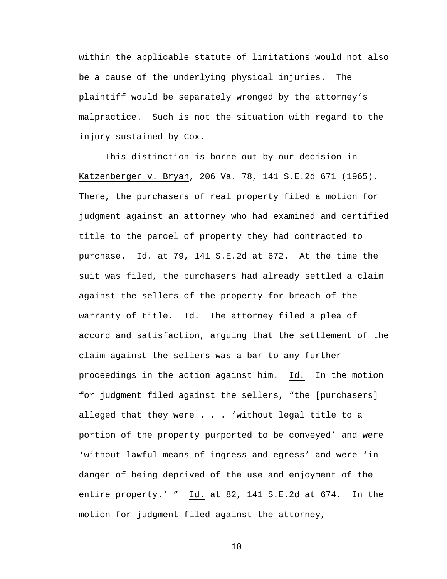within the applicable statute of limitations would not also be a cause of the underlying physical injuries. The plaintiff would be separately wronged by the attorney's malpractice. Such is not the situation with regard to the injury sustained by Cox.

This distinction is borne out by our decision in Katzenberger v. Bryan, 206 Va. 78, 141 S.E.2d 671 (1965). There, the purchasers of real property filed a motion for judgment against an attorney who had examined and certified title to the parcel of property they had contracted to purchase.Id. at 79, 141 S.E.2d at 672. At the time the suit was filed, the purchasers had already settled a claim against the sellers of the property for breach of the warranty of title. Id. The attorney filed a plea of accord and satisfaction, arguing that the settlement of the claim against the sellers was a bar to any further proceedings in the action against him. Id. In the motion for judgment filed against the sellers, "the [purchasers] alleged that they were **. . .** 'without legal title to a portion of the property purported to be conveyed' and were 'without lawful means of ingress and egress' and were 'in danger of being deprived of the use and enjoyment of the entire property.' " Id. at 82, 141 S.E.2d at 674. In the motion for judgment filed against the attorney,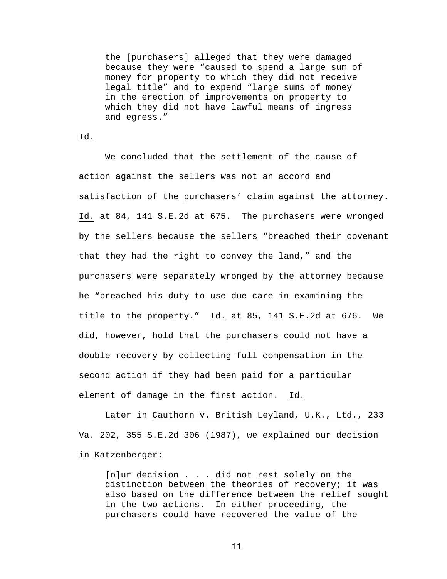the [purchasers] alleged that they were damaged because they were "caused to spend a large sum of money for property to which they did not receive legal title" and to expend "large sums of money in the erection of improvements on property to which they did not have lawful means of ingress and egress."

# Id.

We concluded that the settlement of the cause of action against the sellers was not an accord and satisfaction of the purchasers' claim against the attorney. Id. at 84, 141 S.E.2d at 675. The purchasers were wronged by the sellers because the sellers "breached their covenant that they had the right to convey the land," and the purchasers were separately wronged by the attorney because he "breached his duty to use due care in examining the title to the property." Id. at 85, 141 S.E.2d at 676. We did, however, hold that the purchasers could not have a double recovery by collecting full compensation in the second action if they had been paid for a particular element of damage in the first action. Id.

Later in Cauthorn v. British Leyland, U.K., Ltd., 233 Va. 202, 355 S.E.2d 306 (1987), we explained our decision in Katzenberger:

[o]ur decision . . . did not rest solely on the distinction between the theories of recovery; it was also based on the difference between the relief sought in the two actions. In either proceeding, the purchasers could have recovered the value of the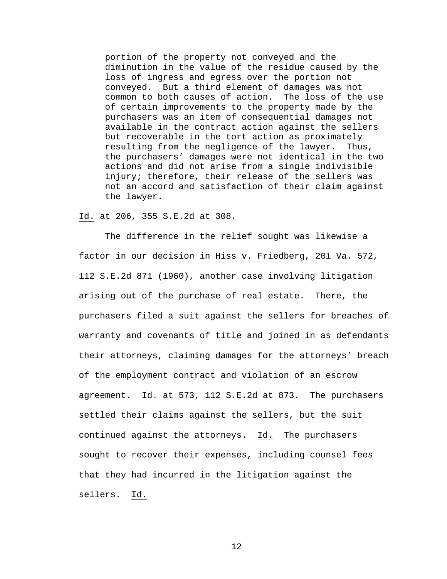portion of the property not conveyed and the diminution in the value of the residue caused by the loss of ingress and egress over the portion not conveyed. But a third element of damages was not common to both causes of action. The loss of the use of certain improvements to the property made by the purchasers was an item of consequential damages not available in the contract action against the sellers but recoverable in the tort action as proximately resulting from the negligence of the lawyer. Thus, the purchasers' damages were not identical in the two actions and did not arise from a single indivisible injury; therefore, their release of the sellers was not an accord and satisfaction of their claim against the lawyer.

### Id. at 206, 355 S.E.2d at 308.

The difference in the relief sought was likewise a factor in our decision in Hiss v. Friedberg, 201 Va. 572, 112 S.E.2d 871 (1960), another case involving litigation arising out of the purchase of real estate. There, the purchasers filed a suit against the sellers for breaches of warranty and covenants of title and joined in as defendants their attorneys, claiming damages for the attorneys' breach of the employment contract and violation of an escrow agreement. Id. at 573, 112 S.E.2d at 873. The purchasers settled their claims against the sellers, but the suit continued against the attorneys. Id.The purchasers sought to recover their expenses, including counsel fees that they had incurred in the litigation against the sellers. Id.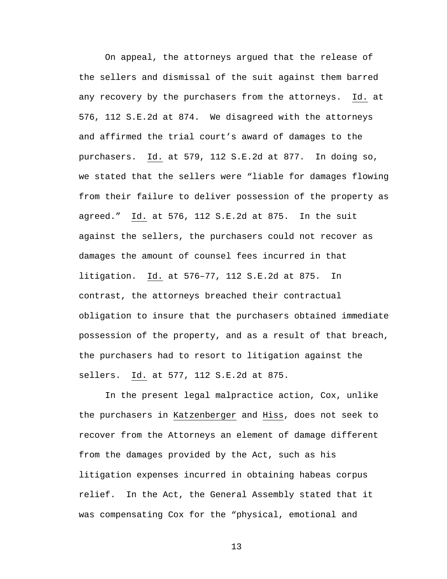On appeal, the attorneys argued that the release of the sellers and dismissal of the suit against them barred any recovery by the purchasers from the attorneys. Id. at 576, 112 S.E.2d at 874. We disagreed with the attorneys and affirmed the trial court's award of damages to the purchasers. Id. at 579, 112 S.E.2d at 877. In doing so, we stated that the sellers were "liable for damages flowing from their failure to deliver possession of the property as agreed." Id. at 576, 112 S.E.2d at 875. In the suit against the sellers, the purchasers could not recover as damages the amount of counsel fees incurred in that litigation. Id. at 576–77, 112 S.E.2d at 875. In contrast, the attorneys breached their contractual obligation to insure that the purchasers obtained immediate possession of the property, and as a result of that breach, the purchasers had to resort to litigation against the sellers. Id. at 577, 112 S.E.2d at 875.

In the present legal malpractice action, Cox, unlike the purchasers in Katzenberger and Hiss, does not seek to recover from the Attorneys an element of damage different from the damages provided by the Act, such as his litigation expenses incurred in obtaining habeas corpus relief. In the Act, the General Assembly stated that it was compensating Cox for the "physical, emotional and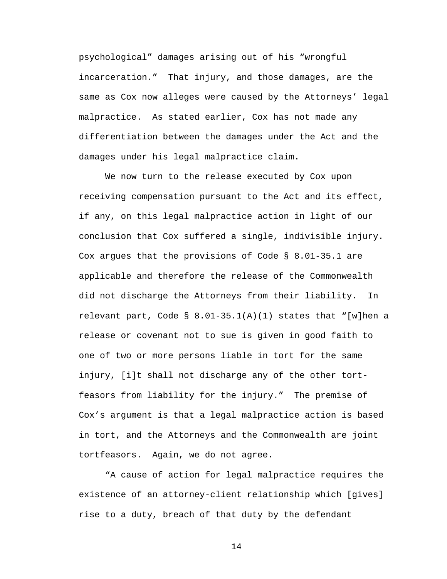psychological" damages arising out of his "wrongful incarceration." That injury, and those damages, are the same as Cox now alleges were caused by the Attorneys' legal malpractice. As stated earlier, Cox has not made any differentiation between the damages under the Act and the damages under his legal malpractice claim.

We now turn to the release executed by Cox upon receiving compensation pursuant to the Act and its effect, if any, on this legal malpractice action in light of our conclusion that Cox suffered a single, indivisible injury. Cox argues that the provisions of Code § 8.01-35.1 are applicable and therefore the release of the Commonwealth did not discharge the Attorneys from their liability. In relevant part, Code § 8.01-35.1(A)(1) states that "[w]hen a release or covenant not to sue is given in good faith to one of two or more persons liable in tort for the same injury, [i]t shall not discharge any of the other tortfeasors from liability for the injury." The premise of Cox's argument is that a legal malpractice action is based in tort, and the Attorneys and the Commonwealth are joint tortfeasors. Again, we do not agree.

"A cause of action for legal malpractice requires the existence of an attorney-client relationship which [gives] rise to a duty, breach of that duty by the defendant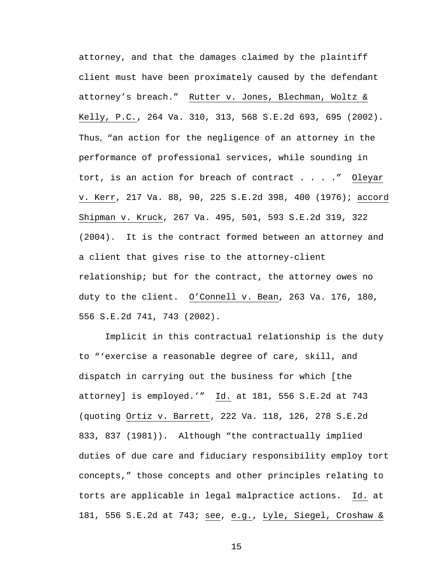attorney, and that the damages claimed by the plaintiff client must have been proximately caused by the defendant attorney's breach." Rutter v. Jones, Blechman, Woltz & Kelly, P.C., 264 Va. 310, 313, 568 S.E.2d 693, 695 (2002). Thus, "an action for the negligence of an attorney in the performance of professional services, while sounding in tort, is an action for breach of contract . . . ." Oleyar v. Kerr, 217 Va. 88, 90, 225 S.E.2d 398, 400 (1976); accord Shipman v. Kruck, 267 Va. 495, 501, 593 S.E.2d 319, 322 (2004). It is the contract formed between an attorney and a client that gives rise to the attorney-client relationship; but for the contract, the attorney owes no duty to the client. O'Connell v. Bean, 263 Va. 176, 180, 556 S.E.2d 741, 743 (2002).

Implicit in this contractual relationship is the duty to "'exercise a reasonable degree of care, skill, and dispatch in carrying out the business for which [the attorney] is employed.'" Id. at 181, 556 S.E.2d at 743 (quoting Ortiz v. Barrett, 222 Va. 118, 126, 278 S.E.2d 833, 837 (1981)). Although "the contractually implied duties of due care and fiduciary responsibility employ tort concepts," those concepts and other principles relating to torts are applicable in legal malpractice actions. Id. at 181, 556 S.E.2d at 743; see, e.g., Lyle, Siegel, Croshaw &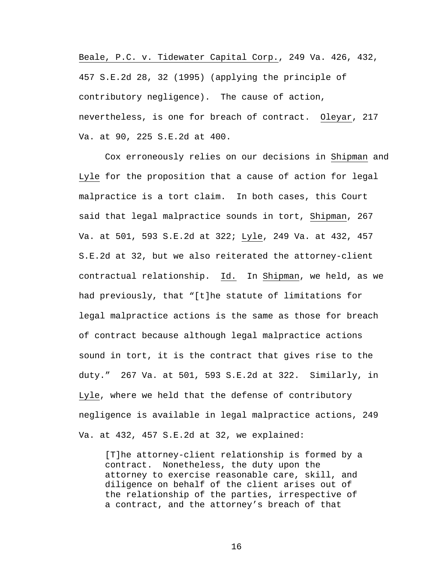Beale, P.C. v. Tidewater Capital Corp., 249 Va. 426, 432, 457 S.E.2d 28, 32 (1995) (applying the principle of contributory negligence). The cause of action, nevertheless, is one for breach of contract. Oleyar, 217 Va. at 90, 225 S.E.2d at 400.

Cox erroneously relies on our decisions in Shipman and Lyle for the proposition that a cause of action for legal malpractice is a tort claim. In both cases, this Court said that legal malpractice sounds in tort, Shipman, 267 Va. at 501, 593 S.E.2d at 322; Lyle, 249 Va. at 432, 457 S.E.2d at 32, but we also reiterated the attorney-client contractual relationship. Id. In Shipman, we held, as we had previously, that "[t]he statute of limitations for legal malpractice actions is the same as those for breach of contract because although legal malpractice actions sound in tort, it is the contract that gives rise to the duty." 267 Va. at 501, 593 S.E.2d at 322. Similarly, in Lyle, where we held that the defense of contributory negligence is available in legal malpractice actions, 249 Va. at 432, 457 S.E.2d at 32, we explained:

[T]he attorney-client relationship is formed by a contract. Nonetheless, the duty upon the attorney to exercise reasonable care, skill, and diligence on behalf of the client arises out of the relationship of the parties, irrespective of a contract, and the attorney's breach of that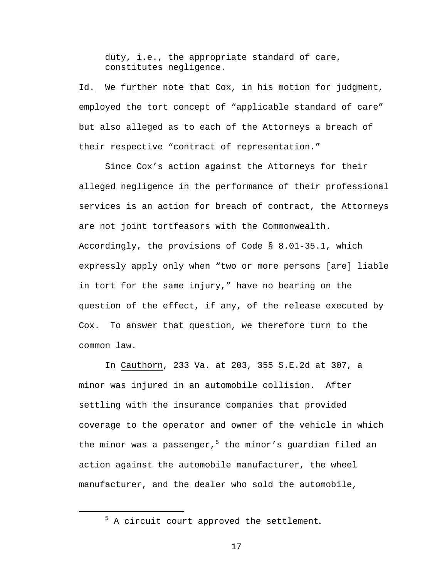duty, i.e., the appropriate standard of care, constitutes negligence.

Id. We further note that Cox, in his motion for judgment, employed the tort concept of "applicable standard of care" but also alleged as to each of the Attorneys a breach of their respective "contract of representation."

 Since Cox's action against the Attorneys for their alleged negligence in the performance of their professional services is an action for breach of contract, the Attorneys are not joint tortfeasors with the Commonwealth. Accordingly, the provisions of Code § 8.01-35.1, which expressly apply only when "two or more persons [are] liable in tort for the same injury," have no bearing on the question of the effect, if any, of the release executed by Cox. To answer that question, we therefore turn to the common law.

 In Cauthorn, 233 Va. at 203, 355 S.E.2d at 307, a minor was injured in an automobile collision. After settling with the insurance companies that provided coverage to the operator and owner of the vehicle in which the minor was a passenger,<sup>5</sup> the minor's guardian filed an action against the automobile manufacturer, the wheel manufacturer, and the dealer who sold the automobile,

 $\overline{a}$ 

<sup>5</sup> A circuit court approved the settlement**.**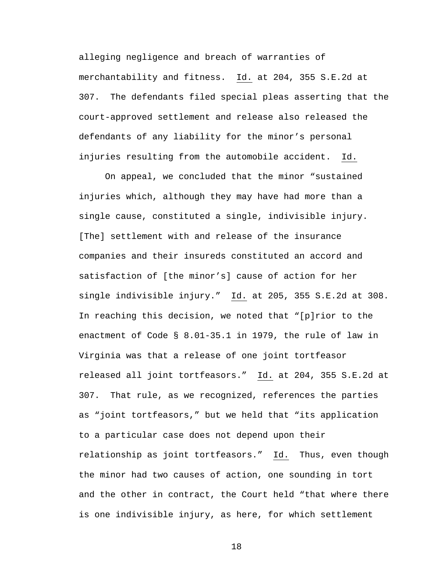alleging negligence and breach of warranties of merchantability and fitness. Id. at 204, 355 S.E.2d at 307. The defendants filed special pleas asserting that the court-approved settlement and release also released the defendants of any liability for the minor's personal injuries resulting from the automobile accident. Id.

On appeal, we concluded that the minor "sustained injuries which, although they may have had more than a single cause, constituted a single, indivisible injury. [The] settlement with and release of the insurance companies and their insureds constituted an accord and satisfaction of [the minor's] cause of action for her single indivisible injury." Id. at 205, 355 S.E.2d at 308. In reaching this decision, we noted that "[p]rior to the enactment of Code § 8.01-35.1 in 1979, the rule of law in Virginia was that a release of one joint tortfeasor released all joint tortfeasors." Id. at 204, 355 S.E.2d at 307. That rule, as we recognized, references the parties as "joint tortfeasors," but we held that "its application to a particular case does not depend upon their relationship as joint tortfeasors." Id. Thus, even though the minor had two causes of action, one sounding in tort and the other in contract, the Court held "that where there is one indivisible injury, as here, for which settlement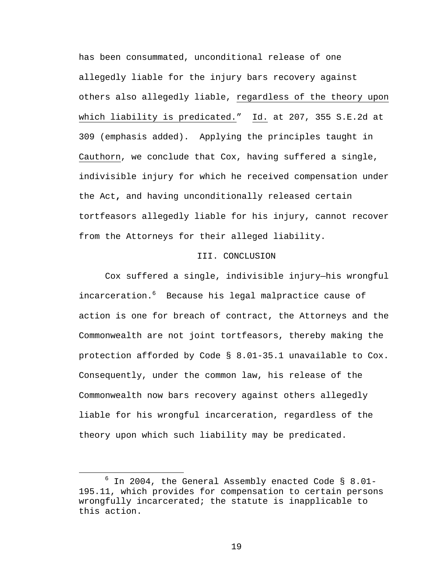has been consummated, unconditional release of one allegedly liable for the injury bars recovery against others also allegedly liable, regardless of the theory upon which liability is predicated." Id. at 207, 355 S.E.2d at 309 (emphasis added). Applying the principles taught in Cauthorn, we conclude that Cox, having suffered a single, indivisible injury for which he received compensation under the Act**,** and having unconditionally released certain tortfeasors allegedly liable for his injury, cannot recover from the Attorneys for their alleged liability.

#### III. CONCLUSION

Cox suffered a single, indivisible injury—his wrongful incarceration.<sup>6</sup> Because his legal malpractice cause of action is one for breach of contract, the Attorneys and the Commonwealth are not joint tortfeasors, thereby making the protection afforded by Code § 8.01-35.1 unavailable to Cox. Consequently, under the common law, his release of the Commonwealth now bars recovery against others allegedly liable for his wrongful incarceration, regardless of the theory upon which such liability may be predicated.

<sup>6</sup>  $6$  In 2004, the General Assembly enacted Code § 8.01-195.11, which provides for compensation to certain persons wrongfully incarcerated; the statute is inapplicable to this action.